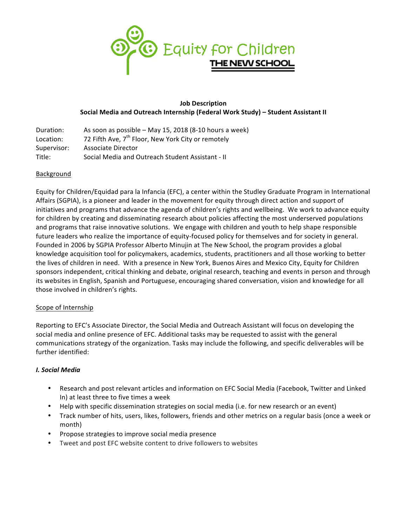

### **Job Description Social Media and Outreach Internship (Federal Work Study) – Student Assistant II**

| Duration:   | As soon as possible - May 15, 2018 (8-10 hours a week)         |
|-------------|----------------------------------------------------------------|
| Location:   | 72 Fifth Ave, 7 <sup>th</sup> Floor, New York City or remotely |
| Supervisor: | Associate Director                                             |
| Title:      | Social Media and Outreach Student Assistant - II               |

#### **Background**

Equity for Children/Equidad para la Infancia (EFC), a center within the Studley Graduate Program in International Affairs (SGPIA), is a pioneer and leader in the movement for equity through direct action and support of initiatives and programs that advance the agenda of children's rights and wellbeing. We work to advance equity for children by creating and disseminating research about policies affecting the most underserved populations and programs that raise innovative solutions. We engage with children and youth to help shape responsible future leaders who realize the importance of equity-focused policy for themselves and for society in general. Founded in 2006 by SGPIA Professor Alberto Minujin at The New School, the program provides a global knowledge acquisition tool for policymakers, academics, students, practitioners and all those working to better the lives of children in need. With a presence in New York, Buenos Aires and Mexico City, Equity for Children sponsors independent, critical thinking and debate, original research, teaching and events in person and through its websites in English, Spanish and Portuguese, encouraging shared conversation, vision and knowledge for all those involved in children's rights.

# Scope of Internship

Reporting to EFC's Associate Director, the Social Media and Outreach Assistant will focus on developing the social media and online presence of EFC. Additional tasks may be requested to assist with the general communications strategy of the organization. Tasks may include the following, and specific deliverables will be further identified:

#### *I. Social Media*

- Research and post relevant articles and information on EFC Social Media (Facebook, Twitter and Linked In) at least three to five times a week
- Help with specific dissemination strategies on social media (i.e. for new research or an event)
- Track number of hits, users, likes, followers, friends and other metrics on a regular basis (once a week or month)
- Propose strategies to improve social media presence
- Tweet and post EFC website content to drive followers to websites